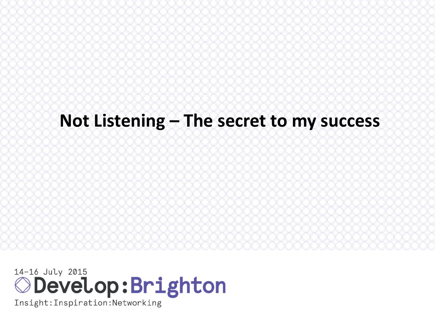# **Not Listening – The secret to my success**

**Develop:Brighton**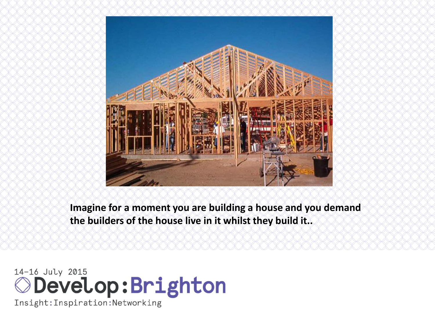

**Imagine for a moment you are building a house and you demand the builders of the house live in it whilst they build it..**

# **Develop:Brighton**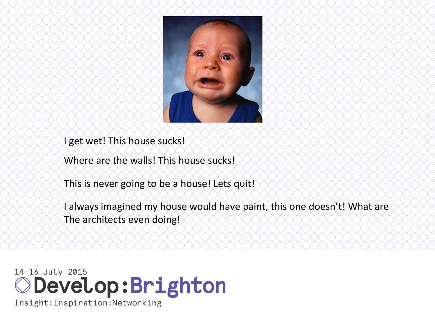

I get wet! This house sucks!

Where are the walls! This house sucks!

This is never going to be a house! Lets quit!

I always imagined my house would have paint, this one doesn't! What are The architects even doing!

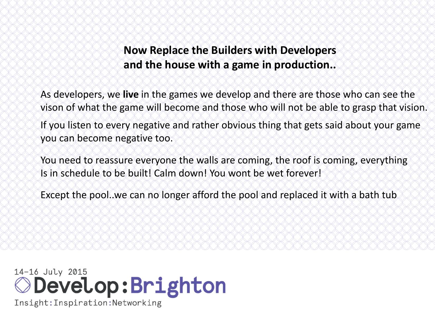#### **Now Replace the Builders with Developers and the house with a game in production..**

As developers, we **live** in the games we develop and there are those who can see the vison of what the game will become and those who will not be able to grasp that vision. If you listen to every negative and rather obvious thing that gets said about your game you can become negative too.

You need to reassure everyone the walls are coming, the roof is coming, everything Is in schedule to be built! Calm down! You wont be wet forever!

Except the pool..we can no longer afford the pool and replaced it with a bath tub

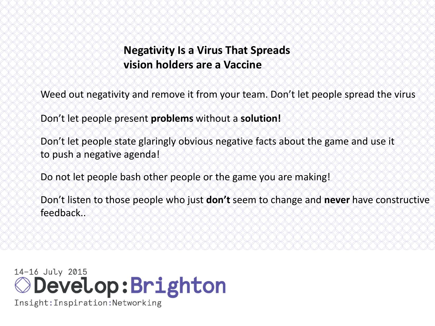#### **Negativity Is a Virus That Spreads vision holders are a Vaccine**

Weed out negativity and remove it from your team. Don't let people spread the virus

Don't let people present **problems** without a **solution!**

Don't let people state glaringly obvious negative facts about the game and use it to push a negative agenda!

Do not let people bash other people or the game you are making!

Don't listen to those people who just **don't** seem to change and **never** have constructive feedback..

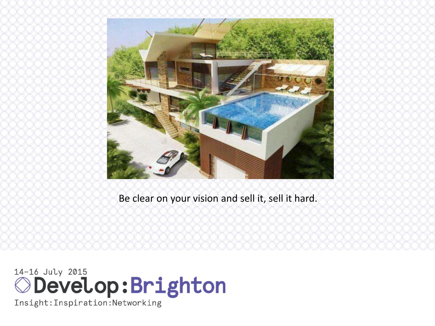

Be clear on your vision and sell it, sell it hard.

14-16 July 2015<br> **Oevelop: Bright: Inspiration: Networking**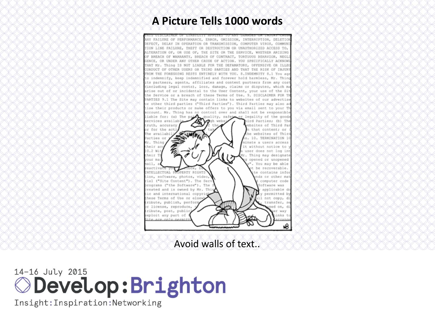#### **A Picture Tells 1000 words**



Avoid walls of text..

## 14-16 July 2015 **ODevelop:Brighton**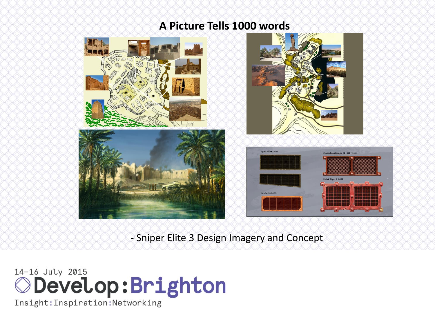#### **A Picture Tells 1000 words**



- Sniper Elite 3 Design Imagery and Concept

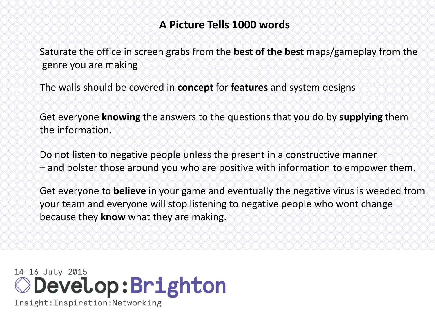#### **A Picture Tells 1000 words**

Saturate the office in screen grabs from the **best of the best** maps/gameplay from the genre you are making

The walls should be covered in **concept** for **features** and system designs

Get everyone **knowing** the answers to the questions that you do by **supplying** them the information.

Do not listen to negative people unless the present in a constructive manner – and bolster those around you who are positive with information to empower them.

Get everyone to **believe** in your game and eventually the negative virus is weeded from your team and everyone will stop listening to negative people who wont change because they **know** what they are making.